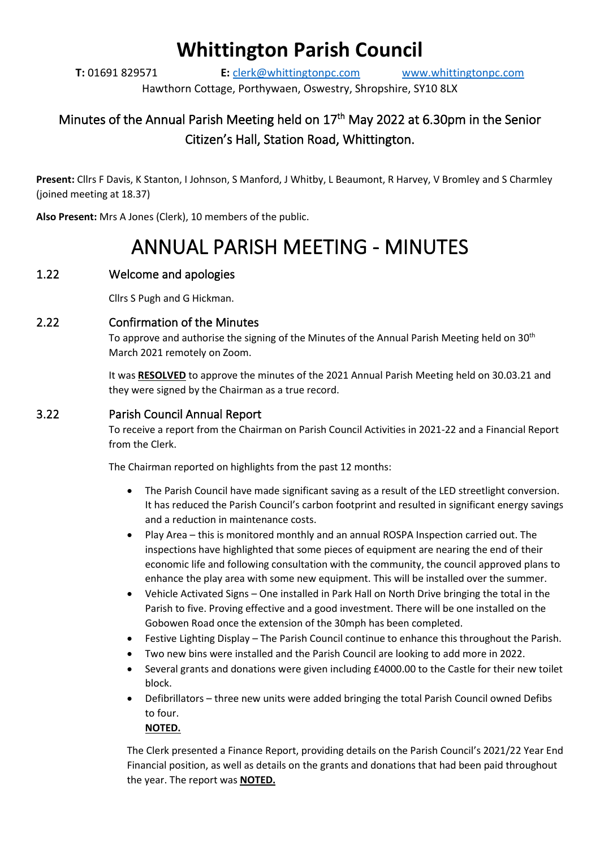# **Whittington Parish Council**

**T:** 01691 829571 **E:** [clerk@whittingtonpc.com](mailto:clerk@whittingtonpc.com) [www.whittingtonpc.com](http://www.whittingtonpc.com/)

Hawthorn Cottage, Porthywaen, Oswestry, Shropshire, SY10 8LX

# Minutes of the Annual Parish Meeting held on 17<sup>th</sup> May 2022 at 6.30pm in the Senior Citizen's Hall, Station Road, Whittington.

**Present:** Cllrs F Davis, K Stanton, I Johnson, S Manford, J Whitby, L Beaumont, R Harvey, V Bromley and S Charmley (joined meeting at 18.37)

**Also Present:** Mrs A Jones (Clerk), 10 members of the public.

# ANNUAL PARISH MEETING - MINUTES

## 1.22 Welcome and apologies

Cllrs S Pugh and G Hickman.

#### 2.22 Confirmation of the Minutes

To approve and authorise the signing of the Minutes of the Annual Parish Meeting held on 30<sup>th</sup> March 2021 remotely on Zoom.

It was **RESOLVED** to approve the minutes of the 2021 Annual Parish Meeting held on 30.03.21 and they were signed by the Chairman as a true record.

#### 3.22 Parish Council Annual Report

To receive a report from the Chairman on Parish Council Activities in 2021-22 and a Financial Report from the Clerk.

The Chairman reported on highlights from the past 12 months:

- The Parish Council have made significant saving as a result of the LED streetlight conversion. It has reduced the Parish Council's carbon footprint and resulted in significant energy savings and a reduction in maintenance costs.
- Play Area this is monitored monthly and an annual ROSPA Inspection carried out. The inspections have highlighted that some pieces of equipment are nearing the end of their economic life and following consultation with the community, the council approved plans to enhance the play area with some new equipment. This will be installed over the summer.
- Vehicle Activated Signs One installed in Park Hall on North Drive bringing the total in the Parish to five. Proving effective and a good investment. There will be one installed on the Gobowen Road once the extension of the 30mph has been completed.
- Festive Lighting Display The Parish Council continue to enhance this throughout the Parish.
- Two new bins were installed and the Parish Council are looking to add more in 2022.
- Several grants and donations were given including £4000.00 to the Castle for their new toilet block.
- Defibrillators three new units were added bringing the total Parish Council owned Defibs to four.

**NOTED.**

The Clerk presented a Finance Report, providing details on the Parish Council's 2021/22 Year End Financial position, as well as details on the grants and donations that had been paid throughout the year. The report was **NOTED.**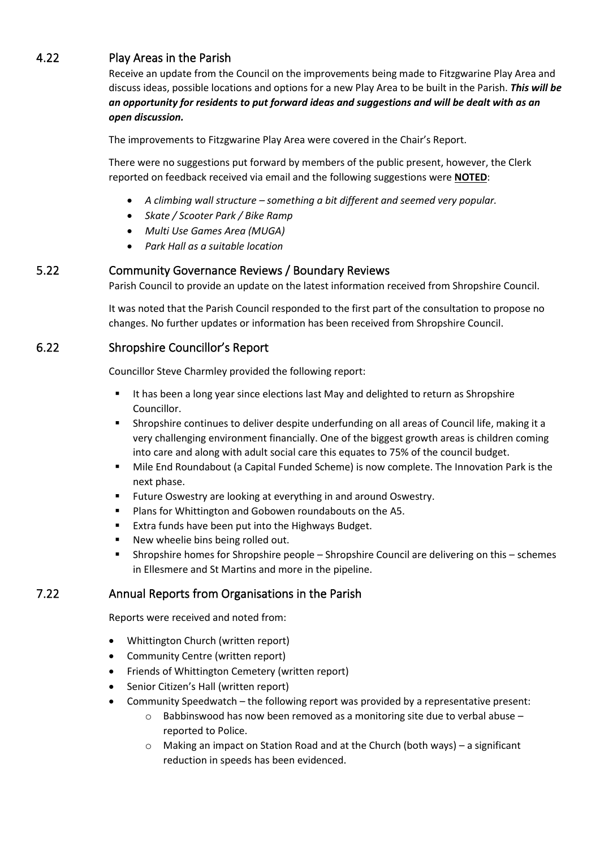# 4.22 Play Areas in the Parish

Receive an update from the Council on the improvements being made to Fitzgwarine Play Area and discuss ideas, possible locations and options for a new Play Area to be built in the Parish. *This will be an opportunity for residents to put forward ideas and suggestions and will be dealt with as an open discussion.*

The improvements to Fitzgwarine Play Area were covered in the Chair's Report.

There were no suggestions put forward by members of the public present, however, the Clerk reported on feedback received via email and the following suggestions were **NOTED**:

- *A climbing wall structure – something a bit different and seemed very popular.*
- *Skate / Scooter Park / Bike Ramp*
- *Multi Use Games Area (MUGA)*
- *Park Hall as a suitable location*

#### 5.22 Community Governance Reviews / Boundary Reviews

Parish Council to provide an update on the latest information received from Shropshire Council.

It was noted that the Parish Council responded to the first part of the consultation to propose no changes. No further updates or information has been received from Shropshire Council.

#### 6.22 Shropshire Councillor's Report

Councillor Steve Charmley provided the following report:

- It has been a long year since elections last May and delighted to return as Shropshire Councillor.
- **•** Shropshire continues to deliver despite underfunding on all areas of Council life, making it a very challenging environment financially. One of the biggest growth areas is children coming into care and along with adult social care this equates to 75% of the council budget.
- Mile End Roundabout (a Capital Funded Scheme) is now complete. The Innovation Park is the next phase.
- Future Oswestry are looking at everything in and around Oswestry.
- Plans for Whittington and Gobowen roundabouts on the A5.
- Extra funds have been put into the Highways Budget.
- New wheelie bins being rolled out.
- Shropshire homes for Shropshire people Shropshire Council are delivering on this schemes in Ellesmere and St Martins and more in the pipeline.

#### 7.22 Annual Reports from Organisations in the Parish

Reports were received and noted from:

- Whittington Church (written report)
- Community Centre (written report)
- Friends of Whittington Cemetery (written report)
- Senior Citizen's Hall (written report)
- Community Speedwatch the following report was provided by a representative present:
	- $\circ$  Babbinswood has now been removed as a monitoring site due to verbal abuse reported to Police.
	- o Making an impact on Station Road and at the Church (both ways) a significant reduction in speeds has been evidenced.